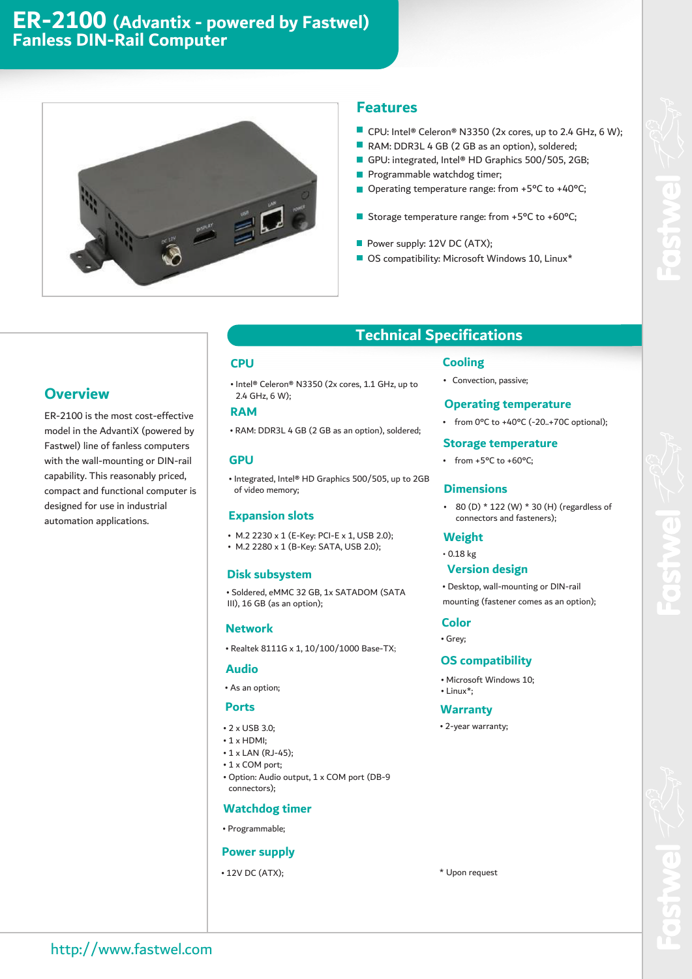# **ER-2100 (Advantix - powered by Fastwel) Fanless DIN-Rail Computer**



#### **Features**

- CPU: Intel® Celeron® N3350 (2x cores, up to 2.4 GHz, 6 W);
- RAM: DDR3L 4 GB (2 GB as an option), soldered;
- GPU: integrated, Intel® HD Graphics 500/505, 2GB;
- Programmable watchdog timer;
- Operating temperature range: from +5°C to +40°C;
- Storage temperature range: from +5°C to +60°C;
- Power supply: 12V DC (ATX);
- OS compatibility: Microsoft Windows 10, Linux\*

### **Overview**

ER-2100 is the most cost-effective model in the AdvantiX (powered by Fastwel) line of fanless computers with the wall-mounting or DIN-rail capability. This reasonably priced, compact and functional computer is designed for use in industrial automation applications.

### **CPU**

• Intel® Celeron® N3350 (2x cores, 1.1 GHz, up to 2.4 GHz, 6 W);

### **RAM**

• RAM: DDR3L 4 GB (2 GB as an option), soldered;

#### **GPU**

• Integrated, Intel® HD Graphics 500/505, up to 2GB of video memory;

#### **Expansion slots**

- M.2 2230 x 1 (E-Key: PCI-E x 1, USB 2.0);
- M.2 2280 x 1 (B-Key: SATA, USB 2.0);

#### **Disk subsystem**

• Soldered, eMMC 32 GB, 1x SATADOM (SATA III), 16 GB (as an option);

#### **Network**

• Realtek 8111G x 1, 10/100/1000 Base-TX;

#### **Audio**

• As an option;

#### **Ports**

- 2 x USB 3.0;
- 1 x HDMI;
- 1 x LAN (RJ-45);
- 1 x COM port;
- Option: Audio output, 1 x COM port (DB-9 connectors);

#### **Watchdog timer**

• Programmable;

#### **Power supply**

• 12V DC (ATX);

# **Technical Specifications**

#### **Cooling**

• Convection, passive;

#### **Operating temperature**

• from 0°C to +40°C (-20..+70C optional);

#### **Storage temperature**

• from  $+5^{\circ}$ C to  $+60^{\circ}$ C;

#### **Dimensions**

• 80 (D)  $*$  122 (W)  $*$  30 (H) (regardless of connectors and fasteners);

#### **Weight**

• 0.18 kg

### **Version design**

• Desktop, wall-mounting or DIN-rail mounting (fastener comes as an option);

#### **Color**

• Grey;

#### **OS compatibility**

- Microsoft Windows 10;
- Linux\*;

#### **Warranty**

• 2-year warranty;

\* Upon request

http://www.fastwel.com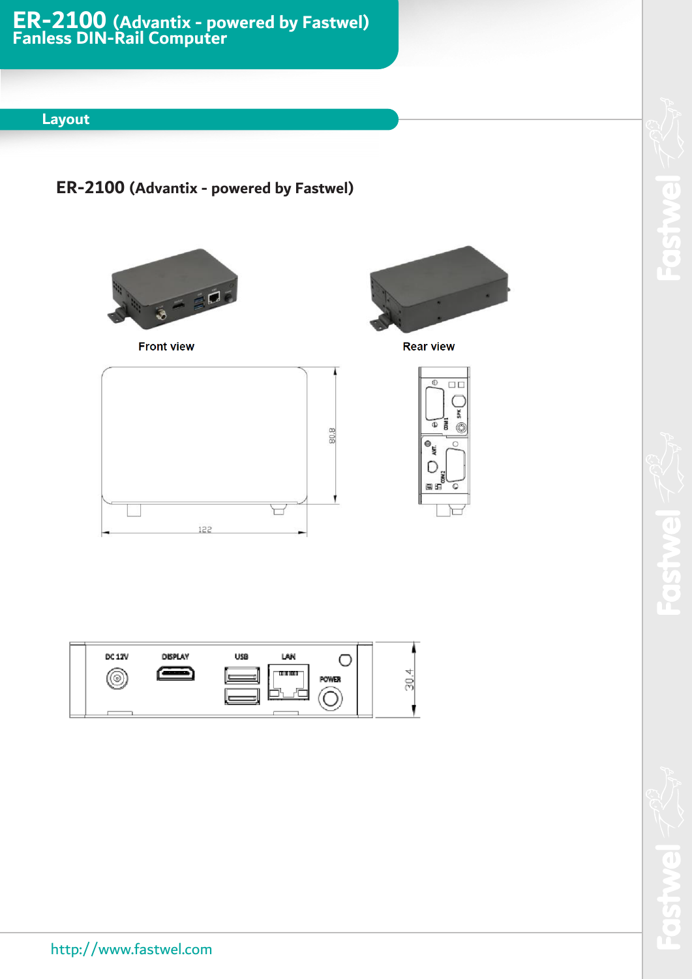### **Layout**

# **ER-2100 (Advantix - powered by Fastwel)**



**Front view** 



 $\Box$ 6

**SPK**  $\overline{\bullet}$  $\mathscr{R}$ 

ᢇ

**Rear view** 

 $\circ$  $\circ$ し<br>田島<br>田島 ō





 $\overline{\phantom{a}}$